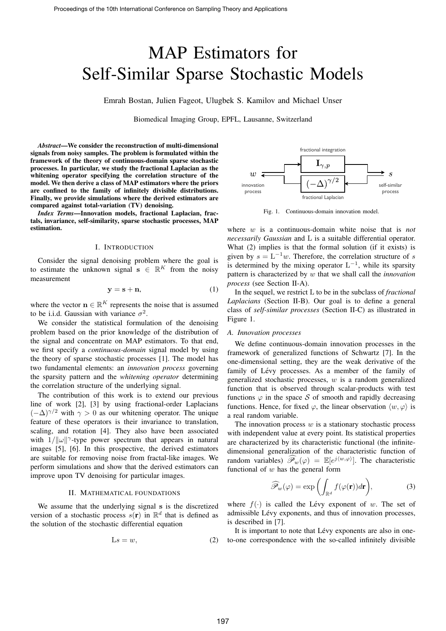# MAP Estimators for Self-Similar Sparse Stochastic Models

Emrah Bostan, Julien Fageot, Ulugbek S. Kamilov and Michael Unser

Biomedical Imaging Group, EPFL, Lausanne, Switzerland

*Abstract*—We consider the reconstruction of multi-dimensional signals from noisy samples. The problem is formulated within the framework of the theory of continuous-domain sparse stochastic processes. In particular, we study the fractional Laplacian as the whitening operator specifying the correlation structure of the model. We then derive a class of MAP estimators where the priors are confined to the family of infinitely divisible distributions. Finally, we provide simulations where the derived estimators are compared against total-variation (TV) denoising.

*Index Terms*—Innovation models, fractional Laplacian, fractals, invariance, self-similarity, sparse stochastic processes, MAP estimation.

#### I. INTRODUCTION

Consider the signal denoising problem where the goal is to estimate the unknown signal  $\mathbf{s} \in \mathbb{R}^K$  from the noisy measurement

$$
y = s + n,\tag{1}
$$

where the vector  $\mathbf{n} \in \mathbb{R}^K$  represents the noise that is assumed to be i.i.d. Gaussian with variance  $\sigma^2$ .

We consider the statistical formulation of the denoising problem based on the prior knowledge of the distribution of  $A$ . Innovative the signal and concentrate on MAP estimators. To that end, we first specify a *continuous-domain* signal model by using the theory of sparse stochastic processes [1]. The model has two fundamental elements: an *innovation process* governing the sparsity pattern and the *whitening operator* determining the correlation structure of the underlying signal.

The contribution of this work is to extend our previous line of work [2], [3] by using fractional-order Laplacians  $(-\Delta)^{\gamma/2}$  with  $\gamma > 0$  as our whitening operator. The unique feature of these operators is their invariance to translation, scaling, and rotation [4]. They also have been associated with  $1/||\omega||^{\gamma}$ -type power spectrum that appears in natural images [5], [6]. In this prospective, the derived estimators are suitable for removing noise from fractal-like images. We perform simulations and show that the derived estimators can improve upon TV denoising for particular images.

## II. MATHEMATICAL FOUNDATIONS

We assume that the underlying signal s is the discretized version of a stochastic process  $s(\mathbf{r})$  in  $\mathbb{R}^d$  that is defined as the solution of the stochastic differential equation

$$
Ls = w,\t\t(2)
$$



Fig. 1. Continuous-domain innovation model.

pattern is characterized by  $w$  that we shall call the *innovation* where w is a continuous-domain white noise that is *not necessarily Gaussian* and L is a suitable differential operator. What (2) implies is that the formal solution (if it exists) is given by  $s = L^{-1}w$ . Therefore, the correlation structure of s is determined by the mixing operator  $L^{-1}$ , while its sparsity *process* (see Section II-A).

In the sequel, we restrict L to be in the subclass of *fractional* Laplacians (Section II-B). Our goal is to define a general class of *self-similar processes* (Section II-C) as illustrated in Figure 1. In the sequel, we restrict L to be in the subclass of *fractional* Figure 1.

## *A. Innovation processes*

Innovation processes<br>We define continuous-domain innovation processes in the one-dimensional setting, they are the weak derivative of the  $\frac{1}{2}$ framework of generalized functions of Schwartz [7]. In the family of Lévy processes. As a member of the family of generalized stochastic processes,  $w$  is a random generalized function that is observed through scalar-products with test functions  $\varphi$  in the space S of smooth and rapidly decreasing functions. Hence, for fixed  $\varphi$ , the linear observation  $\langle w, \varphi \rangle$  is a real random variable.

The innovation process  $w$  is a stationary stochastic process with independent value at every point. Its statistical properties are characterized by its characteristic functional (the infinitedimensional generalization of the characteristic function of random variables)  $\widehat{\mathscr{P}}_w(\varphi) = \mathbb{E}[e^{j \langle w, \varphi \rangle}]$ . The characteristic functional of  $w$  has the general form

$$
\widehat{\mathscr{P}}_w(\varphi) = \exp\left(\int_{\mathbb{R}^d} f(\varphi(\mathbf{r})) d\mathbf{r}\right),\tag{3}
$$

where  $f(\cdot)$  is called the Lévy exponent of w. The set of admissible Lévy exponents, and thus of innovation processes. is described in [7].

It is important to note that Lévy exponents are also in oneto-one correspondence with the so-called infinitely divisible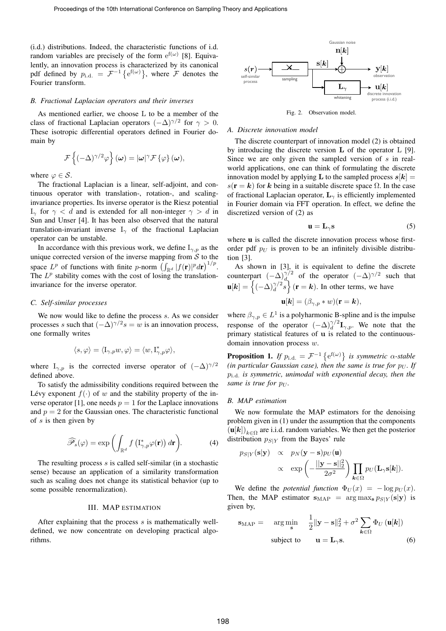(i.d.) distributions. Indeed, the characteristic functions of i.d. random variables are precisely of the form  $e^{f(\omega)}$  [8]. Equivalently, an innovation process is characterized by its canonical pdf defined by  $p_{i.d.} = \mathcal{F}^{-1} \{ e^{f(\omega)} \}$ , where  $\mathcal{F}$  denotes the Fourier transform.

#### *B. Fractional Laplacian operators and their inverses*

As mentioned earlier, we choose L to be a member of the class of fractional Laplacian operators  $(-\Delta)^{\gamma/2}$  for  $\gamma > 0$ . These isotropic differential operators defined in Fourier domain by

$$
\mathcal{F}\left\{(-\Delta)^{\gamma/2}\varphi\right\}(\omega)=|\omega|^{\gamma}\mathcal{F}\left\{\varphi\right\}(\omega),
$$

where  $\varphi \in \mathcal{S}$ .

The fractional Laplacian is a linear, self-adjoint, and continuous operator with translation-, rotation-, and scalinginvariance properties. Its inverse operator is the Riesz potential  $I_{\gamma}$  for  $\gamma < d$  and is extended for all non-integer  $\gamma > d$  in Sun and Unser [4]. It has been also observed that the natural translation-invariant inverse  $I_{\gamma}$  of the fractional Laplacian operator can be unstable.

In accordance with this previous work, we define  $I_{\gamma,p}$  as the unique corrected version of the inverse mapping from  $S$  to the space  $L^p$  of functions with finite p-norm  $\left(\int_{\mathbb{R}^d} |f(\mathbf{r})|^p d\mathbf{r}\right)^{1/p}$ . The  $L^p$  stability comes with the cost of losing the translationinvariance for the inverse operator.

### *C. Self-similar processes*

We now would like to define the process  $s$ . As we consider processes s such that  $(-\Delta)^{\gamma/2} s = w$  is an innovation process, one formally writes

$$
\langle s,\varphi\rangle=\langle \mathcal{I}_{\gamma,p}w,\varphi\rangle=\langle w,\mathcal{I}_{\gamma,p}^*\varphi\rangle,
$$

where  $I_{\gamma,p}$  is the corrected inverse operator of  $(-\Delta)^{\gamma/2}$ defined above.

To satisfy the admissibility conditions required between the Lévy exponent  $f(\cdot)$  of w and the stability property of the inverse operator [1], one needs  $p = 1$  for the Laplace innovations and  $p = 2$  for the Gaussian ones. The characteristic functional of  $s$  is then given by

$$
\widehat{\mathscr{P}}_s(\varphi) = \exp\left(\int_{\mathbb{R}^d} f\left(\mathbf{I}_{\gamma,p}^* \varphi(\mathbf{r})\right) d\mathbf{r}\right).
$$
 (4)

The resulting process  $s$  is called self-similar (in a stochastic sense) because an application of a similarity transformation such as scaling does not change its statistical behavior (up to some possible renormalization).

## III. MAP ESTIMATION

After explaining that the process s is mathematically welldefined, we now concentrate on developing practical algorithms.



Fig. 2. Observation model.

## *A. Discrete innovation model*

of fractional Laplacian operator,  $L_{\gamma}$  is efficiently implemented The discrete counterpart of innovation model (2) is obtained by introducing the discrete version L of the operator L [9]. Since we are only given the sampled version of  $s$  in realworld applications, one can think of formulating the discrete innovation model by applying **L** to the sampled process  $s[k]$  = s( $\mathbf{r} = \mathbf{k}$ ) for k being in a suitable discrete space  $\Omega$ . In the case in Fourier domain via FFT operation. In effect, we define the discretized version of (2) as

$$
\mathbf{u} = \mathbf{L}_{\gamma} \mathbf{s} \tag{5}
$$

where **u** is called the discrete innovation process whose firstorder pdf  $p_U$  is proven to be an infinitely divisible distribution [3].

As shown in [3], it is equivalent to define the discrete counterpart  $(-\Delta)^{\gamma/2}$  of the operator  $(-\Delta)^{\gamma/2}$  such that  $\mathbf{u}[k] = \left\{ (-\Delta)_d^{\gamma/2} s \right\}$  (**r** = *k*). In other terms, we have  $\mathbf{u}[\mathbf{k}] = (\beta_{\gamma,p} * w)(\mathbf{r} = \mathbf{k}),$ 

where  $\beta_{\gamma,p} \in L^1$  is a polyharmonic B-spline and is the impulse response of the operator  $(-\Delta)^{\gamma/2}_{d} \mathbf{I}_{\gamma,p}$ . We note that the primary statistical features of u is related to the continuousdomain innovation process w.

**Proposition 1.** *If*  $p_{i.d.} = \mathcal{F}^{-1} \{e^{f(\omega)}\}\$ *is symmetric*  $\alpha$ *-stable (in particular Gaussian case), then the same is true for*  $p_U$ *. If* pi.d. *is symmetric, unimodal with exponential decay, then the same is true for p<sub>U</sub>*.

#### *B. MAP estimation*

We now formulate the MAP estimators for the denoising problem given in (1) under the assumption that the components  $(u[k])_{k \in \Omega}$  are i.i.d. random variables. We then get the posterior distribution  $p_{S|Y}$  from the Bayes' rule

$$
p_{S|Y}(\mathbf{s}|\mathbf{y}) \propto p_N(\mathbf{y}-\mathbf{s})p_U(\mathbf{u})
$$
  
 
$$
\propto \exp\left(-\frac{||\mathbf{y}-\mathbf{s}||_2^2}{2\sigma^2}\right) \prod_{\mathbf{k}\in\Omega} p_U(\mathbf{L}_{\gamma}\mathbf{s}[\mathbf{k}]).
$$

We define the *potential function*  $\Phi_U(x) = -\log p_U(x)$ . Then, the MAP estimator  $s_{MAP}$  =  $\arg \max_{s} p_{S|Y}(s|y)$  is given by,

$$
\mathbf{s}_{\text{MAP}} = \underset{\mathbf{s}}{\arg \min} \quad \frac{1}{2} \|\mathbf{y} - \mathbf{s}\|_2^2 + \sigma^2 \sum_{\mathbf{k} \in \Omega} \Phi_U(\mathbf{u}[\mathbf{k}])
$$
  
subject to 
$$
\mathbf{u} = \mathbf{L}_{\gamma} \mathbf{s}.
$$
 (6)